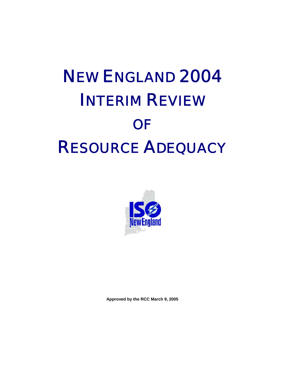# NEW ENGLAND 2004 INTERIM REVIEW **OF** RESOURCE ADEQUACY



**Approved by the RCC March 9, 2005**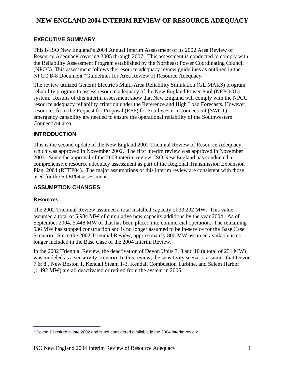## **EXECUTIVE SUMMARY**

This is ISO New England's 2004 Annual Interim Assessment of its 2002 Area Review of Resource Adequacy covering 2005 through 2007. This assessment is conducted to comply with the Reliability Assessment Program established by the Northeast Power Coordinating Council (NPCC). This assessment follows the resource adequacy review guidelines as outlined in the NPCC B-8 Document "Guidelines for Area Review of Resource Adequacy. "

The review utilized General Electric's Multi-Area Reliability Simulation (GE MARS) program reliability program to assess resource adequacy of the New England Power Pool (NEPOOL) system. Results of this interim assessment show that New England will comply with the NPCC resource adequacy reliability criterion under the Reference and High Load Forecasts. However, resources from the Request for Proposal (RFP) for Southwestern Connecticut (SWCT) emergency capability are needed to ensure the operational reliability of the Southwestern Connecticut area.

# **INTRODUCTION**

This is the second update of the New England 2002 Triennial Review of Resource Adequacy, which was approved in November 2002. The first interim review was approved in November 2003. Since the approval of the 2003 interim review, ISO New England has conducted a comprehensive resource adequacy assessment as part of the Regional Transmission Expansion Plan, 2004 (RTEP04). The major assumptions of this interim review are consistent with those used for the RTEP04 assessment.

# **ASSUMPTION CHANGES**

## **Resources**

The 2002 Triennial Review assumed a total installed capacity of 33,292 MW. This value assumed a total of 5,984 MW of cumulative new capacity additions by the year 2004. As of September 2004, 5,448 MW of that has been placed into commercial operation. The remaining 536 MW has stopped construction and is no longer assumed to be in-service for the Base Case Scenario. Since the 2002 Triennial Review, approximately 800 MW assumed available is no longer included in the Base Case of the 2004 Interim Review.

In the 2002 Triennial Review, the deactivation of Devon Units 7, 8 and 10 (a total of 231 MW) was modeled as a sensitivity scenario. In this review, the sensitivity scenario assumes that Devon 7 & 81 , New Boston 1, Kendall Steam 1-3, Kendall Combustion Turbine, and Salem Harbor (1,492 MW) are all deactivated or retired from the system in 2006.

**<sup>1</sup>**<br>
<sup>1</sup> Devon 10 retired in late 2002 and is not considered available in the 2004 interim review.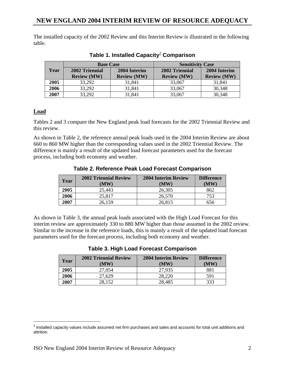The installed capacity of the 2002 Review and this Interim Review is illustrated in the following table.

|      | <b>Base Case</b>   |                    | <b>Sensitivity Case</b> |                    |
|------|--------------------|--------------------|-------------------------|--------------------|
| Year | 2002 Triennial     | 2004 Interim       | 2002 Triennial          | 2004 Interim       |
|      | <b>Review (MW)</b> | <b>Review (MW)</b> | <b>Review (MW)</b>      | <b>Review (MW)</b> |
| 2005 | 33,292             | 31,841             | 33,067                  | 31,841             |
| 2006 | 33,292             | 31,841             | 33,067                  | 30,348             |
| 2007 | 33,292             | 31,841             | 33,067                  | 30,348             |

**Table 1. Installed Capacity**<sup>2</sup>  **Comparison** 

## **Load**

Tables 2 and 3 compare the New England peak load forecasts for the 2002 Triennial Review and this review.

As shown in Table 2, the reference annual peak loads used in the 2004 Interim Review are about 660 to 860 MW higher than the corresponding values used in the 2002 Triennial Review. The difference is mainly a result of the updated load forecast parameters used for the forecast process, including both economy and weather.

| Year | <b>2002 Triennial Review</b><br>(MW) | <b>2004 Interim Review</b><br>(MW) | <b>Difference</b><br>(MW) |
|------|--------------------------------------|------------------------------------|---------------------------|
| 2005 | 25,443                               | 26,305                             | 862                       |
| 2006 | 25,817                               | 26,570                             | 753                       |
| 2007 | 26.159                               | 26,815                             | 556                       |

**Table 2. Reference Peak Load Forecast Comparison** 

As shown in Table 3, the annual peak loads associated with the High Load Forecast for this interim review are approximately 330 to 880 MW higher than those assumed in the 2002 review. Similar to the increase in the reference loads, this is mainly a result of the updated load forecast parameters used for the forecast process, including both economy and weather.

| Year | <b>2002 Triennial Review</b><br>(MW) | <b>2004 Interim Review</b><br>(MW) | <b>Difference</b><br>(MW) |
|------|--------------------------------------|------------------------------------|---------------------------|
| 2005 | 27,054                               | 27,935                             | 881                       |
| 2006 | 27.629                               | 28,220                             | 591                       |
| 2007 | 28,152                               | 28,485                             | 333                       |

### **Table 3. High Load Forecast Comparison**

  $2$  Installed capacity values include assumed net firm purchases and sales and accounts for total unit additions and attrition.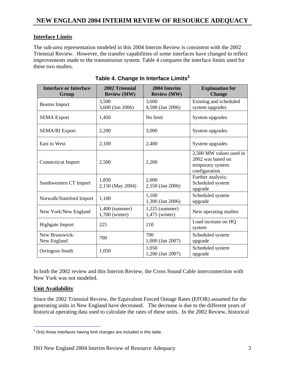## **Interface Limits**

The sub-area representation modeled in this 2004 Interim Review is consistent with the 2002 Triennial Review. However, the transfer capabilities of some interfaces have changed to reflect improvements made to the transmission system. Table 4 compares the interface limits used for these two studies.

| <b>Interface or Interface</b><br>Group | 2002 Triennial<br><b>Review (MW)</b> | 2004 Interim<br><b>Review (MW)</b> | <b>Explanation for</b><br><b>Change</b>                                           |
|----------------------------------------|--------------------------------------|------------------------------------|-----------------------------------------------------------------------------------|
| <b>Boston Import</b>                   | 3,500<br>3,600 (Jan 2006)            | 3,600<br>4,500 (Jan 2006)          | Existing and scheduled<br>system upgrades                                         |
| <b>SEMA Export</b>                     | 1,450                                | No limit                           | System upgrades                                                                   |
| <b>SEMA/RI Export</b>                  | 2,200                                | 3,000                              | System upgrades                                                                   |
| <b>East to West</b>                    | 2,100                                | 2,400                              | System upgrades                                                                   |
| Connecticut Import                     | 2,500                                | 2,200                              | 2,500 MW values used in<br>2002 was based on<br>temporary system<br>configuration |
| Southwestern CT Import                 | 1,850<br>2,150 (May 2004)            | 2,000<br>2,550 (Jan 2006)          | Further analysis;<br>Scheduled system<br>upgrade                                  |
| Norwalk/Stamford Import                | 1,100                                | 1,100<br>1,300 (Jan 2006)          | Scheduled system<br>upgrade                                                       |
| New York/New England                   | $1,400$ (summer)<br>1,700 (winter)   | $1,225$ (summer)<br>1,475 (winter) | New operating studies                                                             |
| Highgate Import                        | 225                                  | 210                                | Load increase on HQ<br>system                                                     |
| New Brunswick-<br>New England          | 700                                  | 700<br>1,000 (Jan 2007)            | Scheduled system<br>upgrade                                                       |
| Orrington South                        | 1,050                                | 1,050<br>1,200 (Jan 2007)          | Scheduled system<br>upgrade                                                       |

Table 4. Change In Interface Limits<sup>3</sup>

In both the 2002 review and this Interim Review, the Cross Sound Cable interconnection with New York was not modeled.

### **Unit Availability**

Since the 2002 Triennial Review, the Equivalent Forced Outage Rates (EFOR) assumed for the generating units in New England have decreased. The decrease is due to the different years of historical operating data used to calculate the rates of these units. In the 2002 Review, historical

**Fig. 2**<br><sup>3</sup> Only those interfaces having limit changes are included in this table.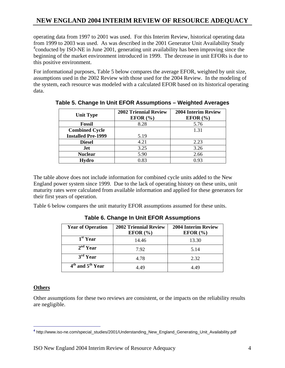# **NEW ENGLAND 2004 INTERIM REVIEW OF RESOURCE ADEQUACY**

operating data from 1997 to 2001 was used. For this Interim Review, historical operating data from 1999 to 2003 was used. As was described in the 2001 Generator Unit Availability Study <sup>4</sup> conducted by ISO-NE in June 2001, generating unit availability has been improving since the beginning of the market environment introduced in 1999. The decrease in unit EFORs is due to this positive environment.

For informational purposes, Table 5 below compares the average EFOR, weighted by unit size, assumptions used in the 2002 Review with those used for the 2004 Review. In the modeling of the system, each resource was modeled with a calculated EFOR based on its historical operating data.

| <b>Unit Type</b>          | <b>2002 Triennial Review</b><br>EFOR $(\% )$ | <b>2004 Interim Review</b><br>EFOR $(\% )$ |
|---------------------------|----------------------------------------------|--------------------------------------------|
| <b>Fossil</b>             | 8.28                                         | 5.76                                       |
| <b>Combined Cycle</b>     |                                              | 1.31                                       |
| <b>Installed Pre-1999</b> | 5.19                                         |                                            |
| <b>Diesel</b>             | 4.21                                         | 2.23                                       |
| Jet                       | 3.25                                         | 3.26                                       |
| <b>Nuclear</b>            | 5.90                                         | 2.66                                       |
| Hydro                     | 0.83                                         | 0.93                                       |

**Table 5. Change In Unit EFOR Assumptions – Weighted Averages** 

The table above does not include information for combined cycle units added to the New England power system since 1999. Due to the lack of operating history on these units, unit maturity rates were calculated from available information and applied for these generators for their first years of operation.

Table 6 below compares the unit maturity EFOR assumptions assumed for these units.

| <b>Year of Operation</b> | <b>2002 Triennial Review</b><br>EFOR $(\% )$ | <b>2004 Interim Review</b><br>EFOR $(\% )$ |
|--------------------------|----------------------------------------------|--------------------------------------------|
| 1 <sup>st</sup> Year     | 14.46                                        | 13.30                                      |
| $2nd$ Year               | 7.92                                         | 5.14                                       |
| $3rd$ Year               | 4.78                                         | 2.32                                       |
| $4th$ and $5th$ Year     | 4 49                                         | 4 49                                       |

**Table 6. Change In Unit EFOR Assumptions** 

#### **Others**

Other assumptions for these two reviews are consistent, or the impacts on the reliability results are negligible.

 **<sup>4</sup>** http://www.iso-ne.com/special\_studies/2001/Understanding\_New\_England\_Generating\_Unit\_Availability.pdf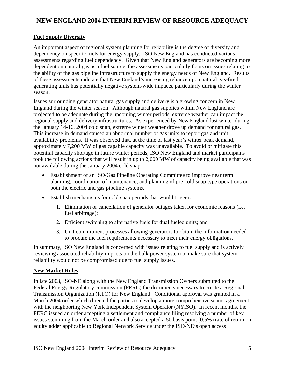## **Fuel Supply Diversity**

An important aspect of regional system planning for reliability is the degree of diversity and dependency on specific fuels for energy supply. ISO New England has conducted various assessments regarding fuel dependency. Given that New England generators are becoming more dependent on natural gas as a fuel source, the assessments particularly focus on issues relating to the ability of the gas pipeline infrastructure to supply the energy needs of New England. Results of these assessments indicate that New England's increasing reliance upon natural gas-fired generating units has potentially negative system-wide impacts, particularly during the winter season.

Issues surrounding generator natural gas supply and delivery is a growing concern in New England during the winter season. Although natural gas supplies within New England are projected to be adequate during the upcoming winter periods, extreme weather can impact the regional supply and delivery infrastructures. As experienced by New England last winter during the January 14-16, 2004 cold snap, extreme winter weather drove up demand for natural gas. This increase in demand caused an abnormal number of gas units to report gas and unit availability problems. It was observed that, at the time of last year's winter peak demand, approximately 7,200 MW of gas capable capacity was unavailable. To avoid or mitigate this potential capacity shortage in future winter periods, ISO New England and market participants took the following actions that will result in up to 2,000 MW of capacity being available that was not available during the January 2004 cold snap:

- Establishment of an ISO/Gas Pipeline Operating Committee to improve near term planning, coordination of maintenance, and planning of pre-cold snap type operations on both the electric and gas pipeline systems.
- Establish mechanisms for cold snap periods that would trigger:
	- 1. Elimination or cancellation of generator outages taken for economic reasons (i.e. fuel arbitrage);
	- 2. Efficient switching to alternative fuels for dual fueled units; and
	- 3. Unit commitment processes allowing generators to obtain the information needed to procure the fuel requirements necessary to meet their energy obligations.

In summary, ISO New England is concerned with issues relating to fuel supply and is actively reviewing associated reliability impacts on the bulk power system to make sure that system reliability would not be compromised due to fuel supply issues.

## **New Market Rules**

In late 2003, ISO-NE along with the New England Transmission Owners submitted to the Federal Energy Regulatory commission (FERC) the documents necessary to create a Regional Transmission Organization (RTO) for New England. Conditional approval was granted in a March 2004 order which directed the parties to develop a more comprehensive seams agreement with the neighboring New York Independent System Operator (NYISO). In recent months, the FERC issued an order accepting a settlement and compliance filing resolving a number of key issues stemming from the March order and also accepted a 50 basis point (0.5%) rate of return on equity adder applicable to Regional Network Service under the ISO-NE's open access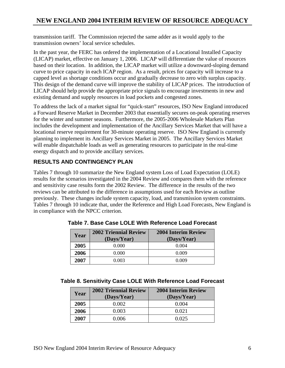# **NEW ENGLAND 2004 INTERIM REVIEW OF RESOURCE ADEQUACY**

transmission tariff. The Commission rejected the same adder as it would apply to the transmission owners' local service schedules.

In the past year, the FERC has ordered the implementation of a Locational Installed Capacity (LICAP) market, effective on January 1, 2006. LICAP will differentiate the value of resources based on their location. In addition, the LICAP market will utilize a downward-sloping demand curve to price capacity in each ICAP region. As a result, prices for capacity will increase to a capped level as shortage conditions occur and gradually decrease to zero with surplus capacity. This design of the demand curve will improve the stability of LICAP prices. The introduction of LICAP should help provide the appropriate price signals to encourage investments in new and existing demand and supply resources in load pockets and congested zones.

To address the lack of a market signal for "quick-start" resources, ISO New England introduced a Forward Reserve Market in December 2003 that essentially secures on-peak operating reserves for the winter and summer seasons. Furthermore, the 2005-2006 Wholesale Markets Plan includes the development and implementation of the Ancillary Services Market that will have a locational reserve requirement for 30-minute operating reserve. ISO New England is currently planning to implement its Ancillary Services Market in 2005. The Ancillary Services Market will enable dispatchable loads as well as generating resources to participate in the real-time energy dispatch and to provide ancillary services.

# **RESULTS AND CONTINGENCY PLAN**

Tables 7 through 10 summarize the New England system Loss of Load Expectation (LOLE) results for the scenarios investigated in the 2004 Review and compares them with the reference and sensitivity case results form the 2002 Review. The difference in the results of the two reviews can be attributed to the difference in assumptions used for each Review as outline previously. These changes include system capacity, load, and transmission system constraints. Tables 7 through 10 indicate that, under the Reference and High Load Forecasts, New England is in compliance with the NPCC criterion.

| Year | <b>2002 Triennial Review</b><br>(Days/Year) | <b>2004 Interim Review</b><br>(Days/Year) |
|------|---------------------------------------------|-------------------------------------------|
| 2005 | 0.000                                       | 0.004                                     |
| 2006 | 0.000                                       | 0.009                                     |
| 2007 | 0.003                                       | 0.009                                     |

**Table 7. Base Case LOLE With Reference Load Forecast** 

| Year | <b>2002 Triennial Review</b><br>(Days/Year) | <b>2004 Interim Review</b><br>(Days/Year) |
|------|---------------------------------------------|-------------------------------------------|
| 2005 | 0.002                                       | 0.004                                     |
| 2006 | 0.003                                       | 0.021                                     |
| 2007 | 0.006                                       | 0.025                                     |